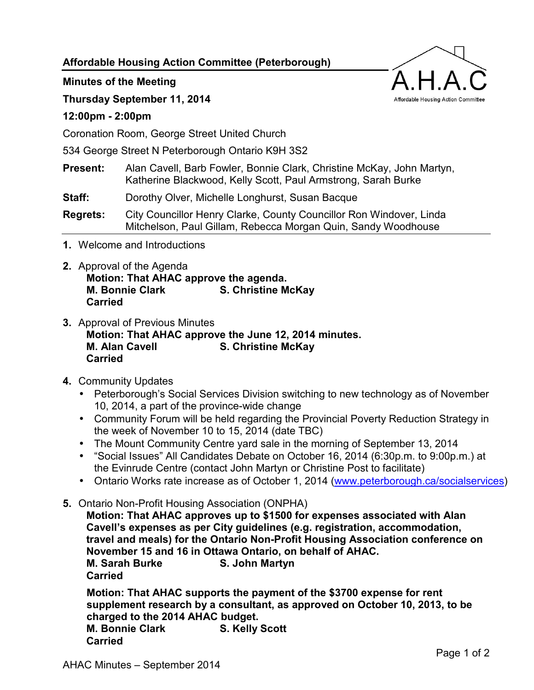**Affordable Housing Action Committee (Peterborough)** 

**Minutes of the Meeting** 

**Thursday September 11, 2014** 

## **12:00pm - 2:00pm**

Coronation Room, George Street United Church

534 George Street N Peterborough Ontario K9H 3S2

**Present:** Alan Cavell, Barb Fowler, Bonnie Clark, Christine McKay, John Martyn, Katherine Blackwood, Kelly Scott, Paul Armstrong, Sarah Burke

**Staff:** Dorothy Olver, Michelle Longhurst, Susan Bacque

**Regrets:** City Councillor Henry Clarke, County Councillor Ron Windover, Linda Mitchelson, Paul Gillam, Rebecca Morgan Quin, Sandy Woodhouse

- **1.** Welcome and Introductions
- **2.** Approval of the Agenda **Motion: That AHAC approve the agenda. M. Bonnie Clark S. Christine McKay Carried**
- **3.** Approval of Previous Minutes **Motion: That AHAC approve the June 12, 2014 minutes. M. Alan Cavell S. Christine McKay Carried**
- **4.** Community Updates
	- Peterborough's Social Services Division switching to new technology as of November 10, 2014, a part of the province-wide change
	- Community Forum will be held regarding the Provincial Poverty Reduction Strategy in the week of November 10 to 15, 2014 (date TBC)
	- The Mount Community Centre yard sale in the morning of September 13, 2014
	- "Social Issues" All Candidates Debate on October 16, 2014 (6:30p.m. to 9:00p.m.) at the Evinrude Centre (contact John Martyn or Christine Post to facilitate)
	- Ontario Works rate increase as of October 1, 2014 [\(www.peterborough.ca/socialservices\)](http://www.peterborough.ca/socialservices)
- **5.** Ontario Non-Profit Housing Association (ONPHA)

**Motion: That AHAC approves up to \$1500 for expenses associated with Alan Cavell's expenses as per City guidelines (e.g. registration, accommodation, travel and meals) for the Ontario Non-Profit Housing Association conference on November 15 and 16 in Ottawa Ontario, on behalf of AHAC. M. Sarah Burke S. John Martyn Carried** 

**Motion: That AHAC supports the payment of the \$3700 expense for rent supplement research by a consultant, as approved on October 10, 2013, to be charged to the 2014 AHAC budget. M. Bonnie Clark S. Kelly Scott Carried**